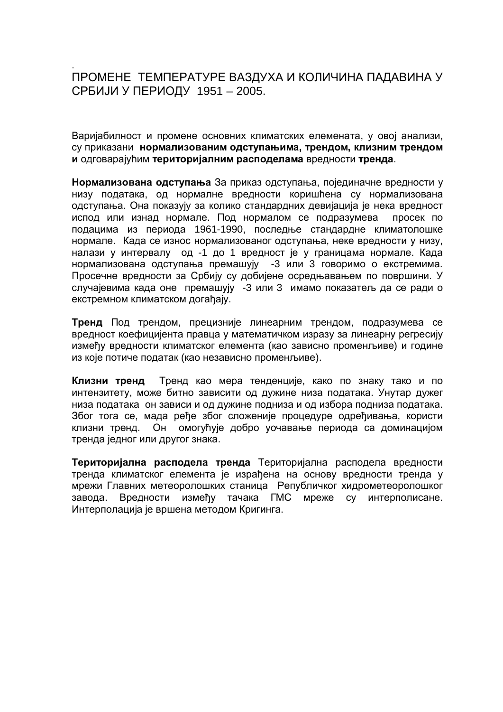## . ПРОМЕНЕ ТЕМПЕРАТУРЕ ВАЗДУХА И КОЛИЧИНА ПАДАВИНА У СРБИЈИ У ПЕРИОДУ 1951 – 2005.

Варијабилност и промене основних климатских елемената, у овој анализи, су приказани нормализованим одступањима, трендом, клизним трендом **и** одговарајућим територијалним расподелама вредности тренда.

**Нормализована одступања** За приказ одступања, појединачне вредности у низу података, од нормалне вредности коришћена су нормализована одступања. Она показују за колико стандардних девијација је нека вредност испод или изнад нормале. Под нормалом се подразумева просек по подацима из периода 1961-1990, последње стандардне климатолошке нормале. Када се износ нормализованог одступања, неке вредности у низу, налази у интервалу од -1 до 1 вредност је у границама нормале. Када нормализована одступања премашују -3 или 3 говоримо о екстремима. Просечне вредности за Србију су добијене осредњавањем по површини. У случајевима када оне премашују -3 или 3 имамо показатељ да се ради о екстремном климатском догађају.

Тренд Под трендом, прецизније линеарним трендом, подразумева се вредност коефицијента правца у математичком изразу за линеарну регресију између вредности климатског елемента (као зависно променљиве) и године из које потиче податак (као независно променљиве).

**Клизни тренд** Тренд као мера тенденције, како по знаку тако и по интензитету, може битно зависити од дужине низа података. Унутар дужег низа података он зависи и од дужине подниза и од избора подниза података. Због тога се, мада ређе због сложеније процедуре одређивања, користи клизни тренд. Он омогућује добро уочавање периода са доминацијом тренда једног или другог знака.

Територијална расподела тренда Територијална расподела вредности тренда климатског елемента је израђена на основу вредности тренда у моежи Главних метеоролошких станица Републичког хидрометеоролошког завода. Вредности измећу тачака ГМС мреже су интерполисане. Интерполација је вршена методом Кригинга.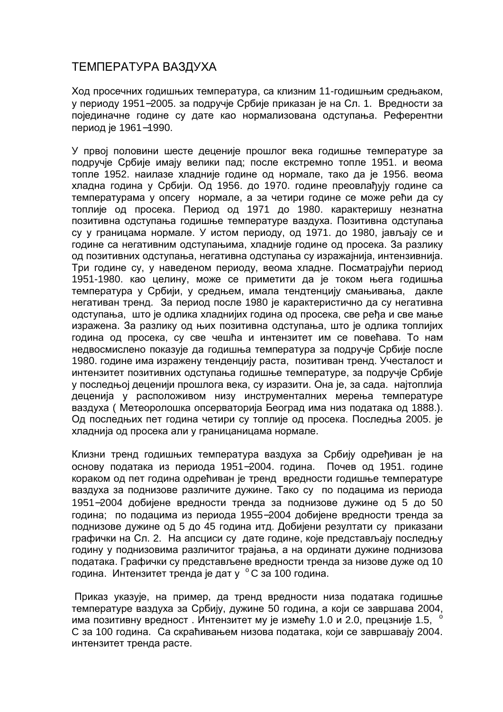## ТЕМПЕРАТУРА ВАЗДУХА

Ход просечних годишњих температура, са клизним 11-годишњим средњаком, у периоду 1951–2005. за подручје Србије приказан је на Сл. 1. Вредности за појединачне године су дате као нормализована одступања. Референтни период је 1961–1990.

У првој половини шесте деценије прошлог века годишње температуре за подручје Србије имају велики пад; после екстремно топле 1951. и веома топле 1952. наилазе хладније године од нормале, тако да је 1956. веома хладна година у Србији. Од 1956. до 1970. године преовлађују године са температурама у опсегу нормале, а за четири године се може рећи да су топлије од просека. Период од 1971 до 1980. карактеришу незнатна позитивна одступања годишње температуре ваздуха. Позитивна одступања су у границама нормале. У истом периоду, од 1971. до 1980, јављају се и године са негативним одступањима, хладније године од просека. За разлику од позитивних одступања, негативна одступања су изражајнија, интензивнија. Три године су, у наведеном периоду, веома хладне. Посматрајући период 1951-1980. као целину, може се приметити да је током њега годишња температура у Србији, у средњем, имала тендтенцију смањивања, дакле негативан тренд. За период после 1980 је карактеристично да су негативна одступања, што је одлика хладнијих година од просека, све ређа и све мање изражена. За разлику од њих позитивна одступања, што је одлика топлијих година од просека, су све чешћа и интензитет им се повећава. То нам недвосмислено показује да годишња температура за подручје Србије после 1980. године има изражену тенденцију раста, позитиван тренд. Учесталост и интензитет позитивних одступања годишње температуре, за подручје Србије у последњој деценији прошлога века, су изразити. Она је, за сада, најтоплија деценија у расположивом низу инструменталних мерења температуре ваздуха ( Метеоролошка опсерваторија Београд има низ података од 1888.). Од последњих пет година четири су топлије од просека. Последња 2005. је хладнија од просека али у границаницама нормале.

Клизни тренд годишњих температура ваздуха за Србију одређиван је на основу података из периода 1951–2004. година. Почев од 1951. године кораком од пет година одрећиван је тренд вредности годишње температуре ваздуха за поднизове различите дужине. Тако су по подацима из периода 1951−2004 добијене вредности тренда за поднизове дужине од 5 до 50 година: по подацима из периода 1955–2004 добијене вредности тренда за поднизове дужине од 5 до 45 година итд. Добијени резултати су приказани графички на Сл. 2. На апсциси су дате године, које представљају последњу годину у поднизовима различитог трајања, а на ординати дужине поднизова података. Графички су представљене вредности тренда за низове дуже од 10 година. Интензитет тренда је дат у °С за 100 година.

Приказ указује, на пример, да тренд вредности низа података годишње температуре ваздуха за Србију, дужине 50 година, а који се завршава 2004, има позитивну вредност. Интензитет му је измећу 1.0 и 2.0, прецзније 1.5, ' С за 100 година. Са скраћивањем низова података, који се завршавају 2004. интензитет тренда расте.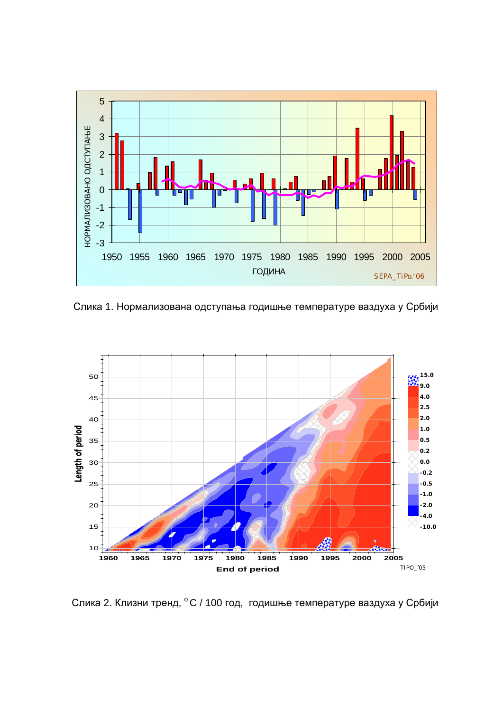

Слика 1. Нормализована одступања годишње температуре ваздуха у Србији



Слика 2. Клизни тренд, °С / 100 год, годишње температуре ваздуха у Србији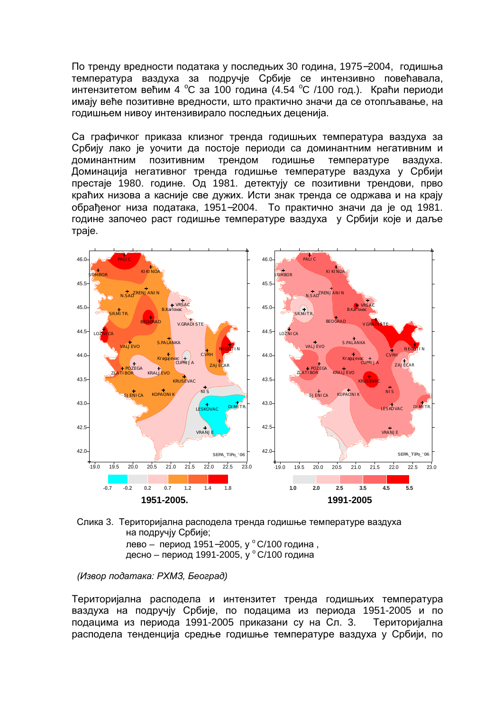По тренду вредности података у последњих 30 година, 1975–2004, годишња температура ваздуха за подручје Србије се интензивно повећавала, интензитетом већим 4 °С за 100 година (4.54 °С /100 год.). Краћи периоди имају веће позитивне вредности, што практично значи да се отопљавање, на годишњем нивоу интензивирало последњих деценија.

Са графичког приказа клизног тренда годишњих температура ваздуха за Србију лако је уочити да постоје периоди са доминантним негативним и доминантним позитивним трендом годишње температуре ваздуха. Доминација негативног тренда годишње температуре ваздуха у Србији престаје 1980. године. Од 1981. детектују се позитивни трендови, прво краћих низова а касније све дужих. Исти знак тренда се одржава и на крају обрађеног низа података, 1951–2004. То практично значи да је од 1981. године започео раст годишње температуре ваздуха у Србији које и даље Tpaje.



Слика 3. Територијална расподела тренда годишње температуре ваздуха на подручіу Србије; лево – период 1951–2005, у °С/100 година , десно – период 1991-2005, у ° С/100 година

*(Извор података: РХМЗ, Београд)* 

Територијална расподела и интензитет тренда годишњих температура ваздуха на подручју Србије, по подацима из периода 1951-2005 и по подацима из периода 1991-2005 приказани су на Сл. 3. Територијална расподела тенденција средње годишње температуре ваздуха у Србији, по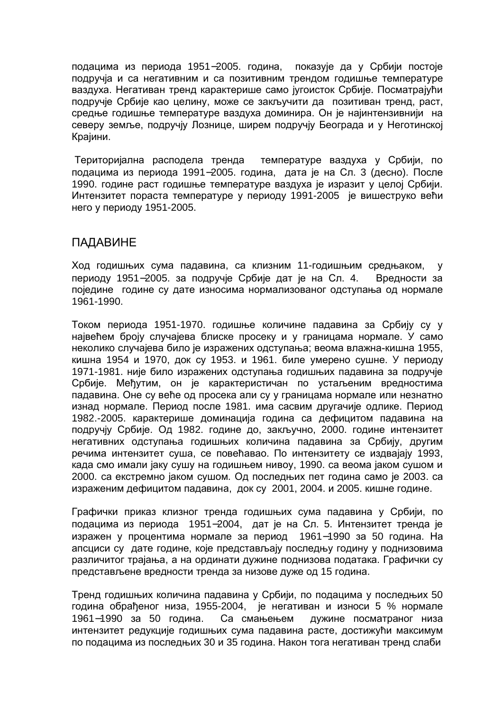подацима из периода 1951–2005. година, показује да у Србији постоје подручја и са негативним и са позитивним трендом годишње температуре ваздуха. Негативан тренд карактерише само іугоисток Србиіе. Посматраіући подручје Србије као целину, може се закључити да позитиван тренд, раст, средње годишње температуре ваздуха доминира. Он је најинтензивнији на северу земље, подручју Лознице, ширем подручју Београда и у Неготинској Крајини.

Територијална расподела тренда температуре ваздуха у Србији, по подацима из периода 1991–2005. година. дата је на Сл. 3 (десно). После 1990. године раст годишње температуре ваздуха је изразит у целој Србији. Интензитет пораста температуре у периоду 1991-2005 је вишеструко већи него у периоду 1951-2005.

## ПАДАВИНЕ

Ход годишњих сума падавина, са клизним 11-годишњим средњаком, у периоду 1951–2005. за подручје Србије дат је на Сл. 4. Вредности за поједине године су дате износима нормализованог одступања од нормале 1961-1990.

Током периода 1951-1970. годишње количине падавина за Србију су у највећем броју случајева блиске просеку и у границама нормале. У само неколико случајева било је изражених одступања; веома влажна-кишна 1955, кишна 1954 и 1970, док су 1953. и 1961. биле умерено сушне. У периоду 1971-1981. није било изражених одступања годишњих падавина за подручје Србије. Међутим, он је карактеристичан по устаљеним вредностима падавина. Оне су веће од просека али су у границама нормале или незнатно изнад нормале. Период после 1981. има сасвим другачије одлике. Период 1982.-2005. карактерише доминација година са дефицитом падавина на подручју Србије. Од 1982. године до, закључно, 2000. године интензитет негативних одступања годишњих количина падавина за Србију, другим речима интензитет суша, се повећавао. По интензитету се издвајају 1993, када смо имали јаку сушу на годишњем нивоу, 1990. са веома јаком сушом и 2000. са екстремно јаком сушом. Од последњих пет година само је 2003. са израженим дефицитом падавина, док су 2001, 2004. и 2005. кишне године.

Графички приказ клизног тренда годишњих сума падавина у Србији, по подацима из периода 1951–2004, дат је на Сл. 5. Интензитет тренда је изражен у процентима нормале за период 1961-1990 за 50 година. На апсциси су дате године, које представљају последњу годину у поднизовима различитог трајања, а на ординати дужине поднизова података. Графички су представљене вредности тренда за низове дуже од 15 година.

Тренд годишњих количина падавина у Србији, по подацима у последњих 50 година обраћеног низа, 1955-2004, је негативан и износи 5 % нормале 1961−1990 за 50 година. Са смањењем дужине посматраног низа интензитет редукције годишњих сума падавина расте, достижући максимум по подацима из последњих 30 и 35 година. Након тога негативан тренд слаби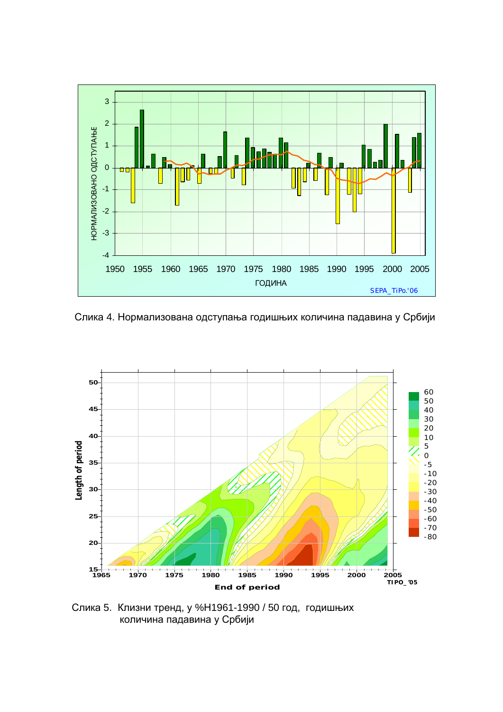

Слика 4. Нормализована одступања годишњих количина падавина у Србији



Слика 5. Клизни тренд, у %Н1961-1990 / 50 год, годишњих количина падавина у Србији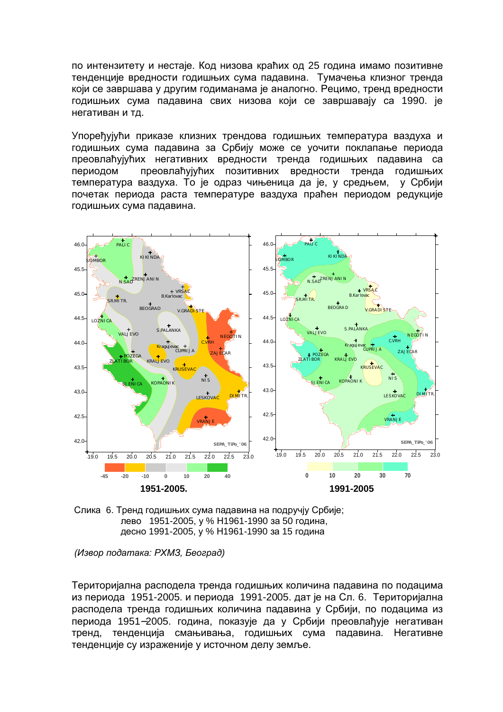по интензитету и нестаје. Код низова краћих од 25 година имамо позитивне тенденције вредности годишњих сума падавина. Тумачења клизног тренда који се завршава у другим годиманама је аналогно. Рецимо, тренд вредности годишњих сума падавина свих низова који се завршавају са 1990. је негативан и тд.

Упоређујући приказе клизних трендова годишњих температура ваздуха и годишњих сума падавина за Србију може се уочити поклапање периода преовлаћујућих негативних вредности тренда годишњих падавина са периодом преовлаћујућих позитивних вредности тренда годишњих температура ваздуха. То је одраз чињеница да је, у средњем, у Србији почетак периода раста температуре ваздуха праћен периодом редукције годишњих сума падавина.





*(Извор података: РХМЗ, Београд)* 

Територијална расподела тренда годишњих количина падавина по подацима из периода 1951-2005. и периода 1991-2005. дат је на Сл. 6. Територијална расподела тренда годишњих количина падавина у Србији, по подацима из периода 1951–2005. година, показује да у Србији преовлађује негативан тренд, тенденција смањивања, годишњих сума падавина. Негативне тенденције су израженије у источном делу земље.